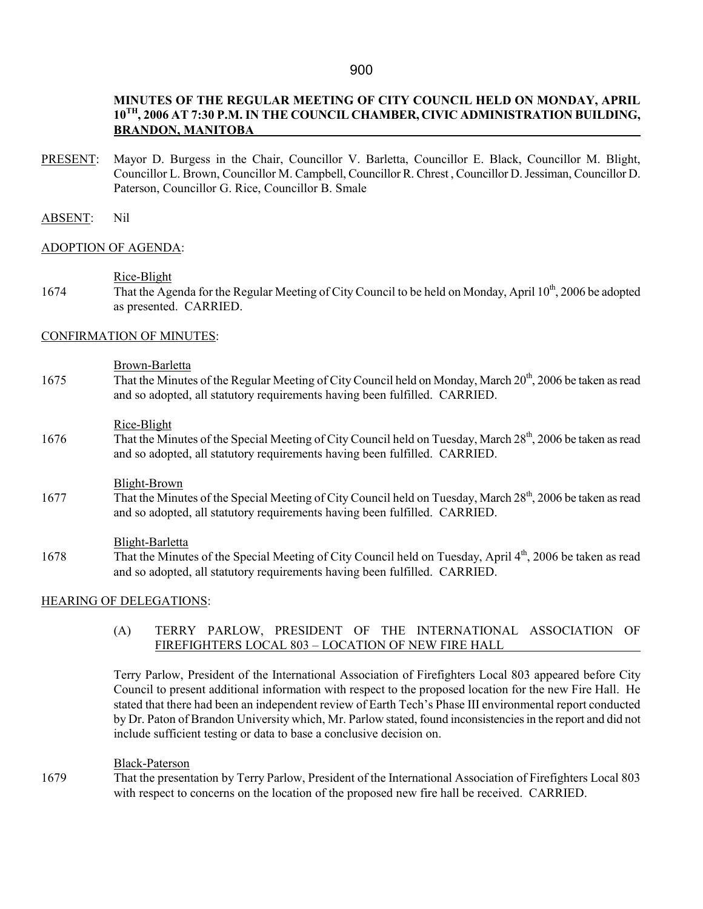# MINUTES OF THE REGULAR MEETING OF CITY COUNCIL HELD ON MONDAY, APRIL 10TH, 2006 AT 7:30 P.M. IN THE COUNCIL CHAMBER, CIVIC ADMINISTRATION BUILDING, BRANDON, MANITOBA

PRESENT: Mayor D. Burgess in the Chair, Councillor V. Barletta, Councillor E. Black, Councillor M. Blight, Councillor L. Brown, Councillor M. Campbell, Councillor R. Chrest , Councillor D. Jessiman, Councillor D. Paterson, Councillor G. Rice, Councillor B. Smale

### ABSENT: Nil

#### ADOPTION OF AGENDA:

Rice-Blight

1674 That the Agenda for the Regular Meeting of City Council to be held on Monday, April 10<sup>th</sup>, 2006 be adopted as presented. CARRIED.

#### CONFIRMATION OF MINUTES:

#### Brown-Barletta

1675 That the Minutes of the Regular Meeting of City Council held on Monday, March 20<sup>th</sup>, 2006 be taken as read and so adopted, all statutory requirements having been fulfilled. CARRIED.

#### Rice-Blight

1676 That the Minutes of the Special Meeting of City Council held on Tuesday, March 28<sup>th</sup>, 2006 be taken as read and so adopted, all statutory requirements having been fulfilled. CARRIED.

#### Blight-Brown

1677 That the Minutes of the Special Meeting of City Council held on Tuesday, March 28<sup>th</sup>, 2006 be taken as read and so adopted, all statutory requirements having been fulfilled. CARRIED.

#### Blight-Barletta

1678 That the Minutes of the Special Meeting of City Council held on Tuesday, April 4<sup>th</sup>, 2006 be taken as read and so adopted, all statutory requirements having been fulfilled. CARRIED.

### HEARING OF DELEGATIONS:

(A) TERRY PARLOW, PRESIDENT OF THE INTERNATIONAL ASSOCIATION OF FIREFIGHTERS LOCAL 803 – LOCATION OF NEW FIRE HALL

Terry Parlow, President of the International Association of Firefighters Local 803 appeared before City Council to present additional information with respect to the proposed location for the new Fire Hall. He stated that there had been an independent review of Earth Tech's Phase III environmental report conducted by Dr. Paton of Brandon University which, Mr. Parlow stated, found inconsistencies in the report and did not include sufficient testing or data to base a conclusive decision on.

#### Black-Paterson

1679 That the presentation by Terry Parlow, President of the International Association of Firefighters Local 803 with respect to concerns on the location of the proposed new fire hall be received. CARRIED.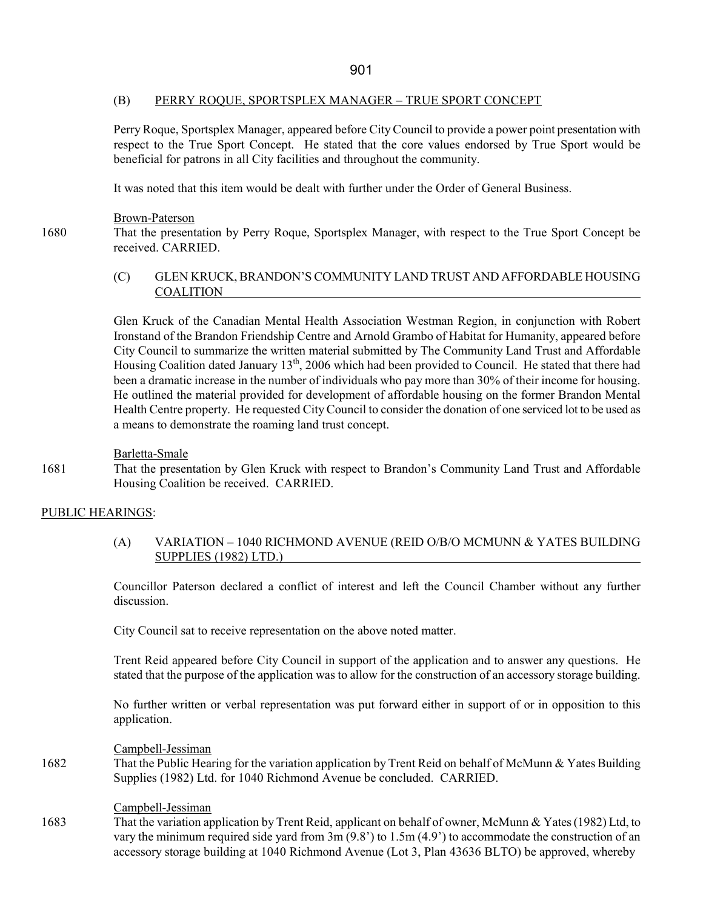### (B) PERRY ROQUE, SPORTSPLEX MANAGER – TRUE SPORT CONCEPT

Perry Roque, Sportsplex Manager, appeared before City Council to provide a power point presentation with respect to the True Sport Concept. He stated that the core values endorsed by True Sport would be beneficial for patrons in all City facilities and throughout the community.

It was noted that this item would be dealt with further under the Order of General Business.

Brown-Paterson

1680 That the presentation by Perry Roque, Sportsplex Manager, with respect to the True Sport Concept be received. CARRIED.

### (C) GLEN KRUCK, BRANDON'S COMMUNITY LAND TRUST AND AFFORDABLE HOUSING **COALITION**

Glen Kruck of the Canadian Mental Health Association Westman Region, in conjunction with Robert Ironstand of the Brandon Friendship Centre and Arnold Grambo of Habitat for Humanity, appeared before City Council to summarize the written material submitted by The Community Land Trust and Affordable Housing Coalition dated January 13<sup>th</sup>, 2006 which had been provided to Council. He stated that there had been a dramatic increase in the number of individuals who pay more than 30% of their income for housing. He outlined the material provided for development of affordable housing on the former Brandon Mental Health Centre property. He requested City Council to consider the donation of one serviced lot to be used as a means to demonstrate the roaming land trust concept.

### Barletta-Smale

1681 That the presentation by Glen Kruck with respect to Brandon's Community Land Trust and Affordable Housing Coalition be received. CARRIED.

### PUBLIC HEARINGS:

### (A) VARIATION – 1040 RICHMOND AVENUE (REID O/B/O MCMUNN & YATES BUILDING SUPPLIES (1982) LTD.)

Councillor Paterson declared a conflict of interest and left the Council Chamber without any further discussion.

City Council sat to receive representation on the above noted matter.

Trent Reid appeared before City Council in support of the application and to answer any questions. He stated that the purpose of the application was to allow for the construction of an accessory storage building.

No further written or verbal representation was put forward either in support of or in opposition to this application.

#### Campbell-Jessiman

1682 That the Public Hearing for the variation application by Trent Reid on behalf of McMunn & Yates Building Supplies (1982) Ltd. for 1040 Richmond Avenue be concluded. CARRIED.

### Campbell-Jessiman

1683 That the variation application by Trent Reid, applicant on behalf of owner, McMunn & Yates (1982) Ltd, to vary the minimum required side yard from 3m (9.8') to 1.5m (4.9') to accommodate the construction of an accessory storage building at 1040 Richmond Avenue (Lot 3, Plan 43636 BLTO) be approved, whereby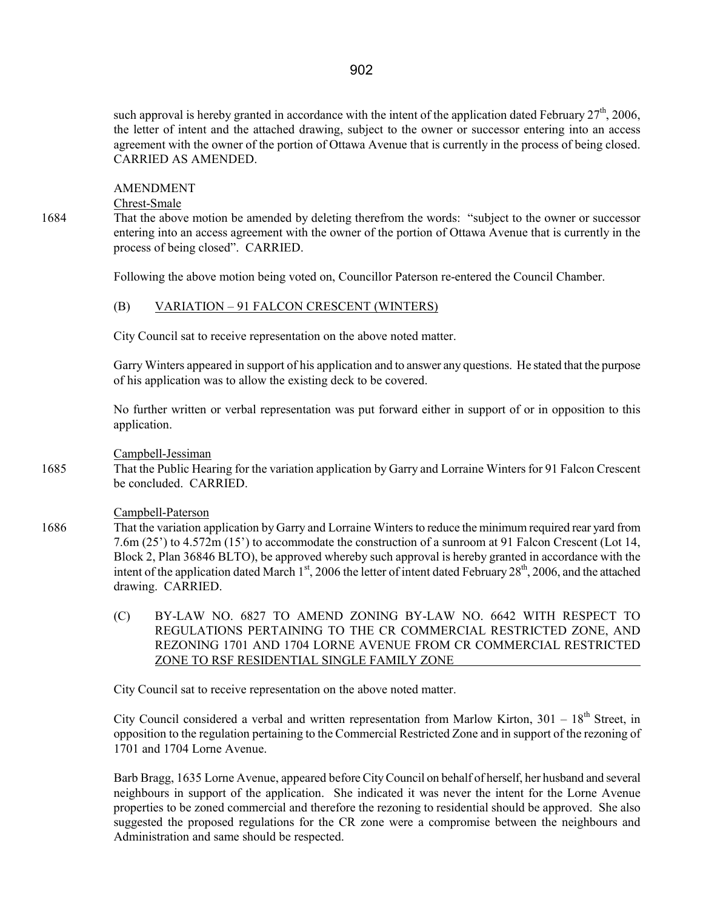such approval is hereby granted in accordance with the intent of the application dated February 27<sup>th</sup>, 2006, the letter of intent and the attached drawing, subject to the owner or successor entering into an access agreement with the owner of the portion of Ottawa Avenue that is currently in the process of being closed. CARRIED AS AMENDED.

#### AMENDMENT

Chrest-Smale

1684 That the above motion be amended by deleting therefrom the words: "subject to the owner or successor entering into an access agreement with the owner of the portion of Ottawa Avenue that is currently in the process of being closed". CARRIED.

Following the above motion being voted on, Councillor Paterson re-entered the Council Chamber.

#### (B) VARIATION – 91 FALCON CRESCENT (WINTERS)

City Council sat to receive representation on the above noted matter.

Garry Winters appeared in support of his application and to answer any questions. He stated that the purpose of his application was to allow the existing deck to be covered.

No further written or verbal representation was put forward either in support of or in opposition to this application.

Campbell-Jessiman

1685 That the Public Hearing for the variation application by Garry and Lorraine Winters for 91 Falcon Crescent be concluded. CARRIED.

#### Campbell-Paterson

1686 That the variation application by Garry and Lorraine Winters to reduce the minimum required rear yard from 7.6m (25') to 4.572m (15') to accommodate the construction of a sunroom at 91 Falcon Crescent (Lot 14, Block 2, Plan 36846 BLTO), be approved whereby such approval is hereby granted in accordance with the intent of the application dated March  $1<sup>st</sup>$ , 2006 the letter of intent dated February 28<sup>th</sup>, 2006, and the attached drawing. CARRIED.

> (C) BY-LAW NO. 6827 TO AMEND ZONING BY-LAW NO. 6642 WITH RESPECT TO REGULATIONS PERTAINING TO THE CR COMMERCIAL RESTRICTED ZONE, AND REZONING 1701 AND 1704 LORNE AVENUE FROM CR COMMERCIAL RESTRICTED ZONE TO RSF RESIDENTIAL SINGLE FAMILY ZONE

City Council sat to receive representation on the above noted matter.

City Council considered a verbal and written representation from Marlow Kirton,  $301 - 18<sup>th</sup>$  Street, in opposition to the regulation pertaining to the Commercial Restricted Zone and in support of the rezoning of 1701 and 1704 Lorne Avenue.

Barb Bragg, 1635 Lorne Avenue, appeared before City Council on behalf of herself, her husband and several neighbours in support of the application. She indicated it was never the intent for the Lorne Avenue properties to be zoned commercial and therefore the rezoning to residential should be approved. She also suggested the proposed regulations for the CR zone were a compromise between the neighbours and Administration and same should be respected.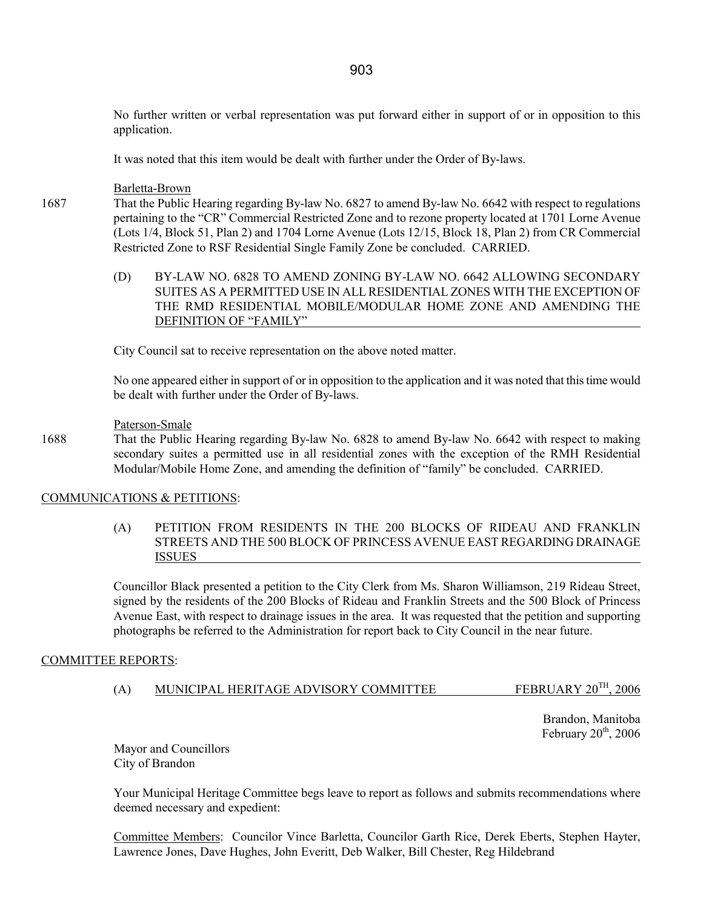No further written or verbal representation was put forward either in support of or in opposition to this application.

It was noted that this item would be dealt with further under the Order of By-laws.

#### Barletta-Brown

- 1687 That the Public Hearing regarding By-law No. 6827 to amend By-law No. 6642 with respect to regulations pertaining to the "CR" Commercial Restricted Zone and to rezone property located at 1701 Lorne Avenue (Lots 1/4, Block 51, Plan 2) and 1704 Lorne Avenue (Lots 12/15, Block 18, Plan 2) from CR Commercial Restricted Zone to RSF Residential Single Family Zone be concluded. CARRIED.
	- (D) BY-LAW NO. 6828 TO AMEND ZONING BY-LAW NO. 6642 ALLOWING SECONDARY SUITES AS A PERMITTED USE IN ALL RESIDENTIAL ZONES WITH THE EXCEPTION OF THE RMD RESIDENTIAL MOBILE/MODULAR HOME ZONE AND AMENDING THE DEFINITION OF "FAMILY"

City Council sat to receive representation on the above noted matter.

No one appeared either in support of or in opposition to the application and it was noted that this time would be dealt with further under the Order of By-laws.

#### Paterson-Smale

1688 That the Public Hearing regarding By-law No. 6828 to amend By-law No. 6642 with respect to making secondary suites a permitted use in all residential zones with the exception of the RMH Residential Modular/Mobile Home Zone, and amending the definition of "family" be concluded. CARRIED.

#### COMMUNICATIONS & PETITIONS:

 (A) PETITION FROM RESIDENTS IN THE 200 BLOCKS OF RIDEAU AND FRANKLIN STREETS AND THE 500 BLOCK OF PRINCESS AVENUE EAST REGARDING DRAINAGE ISSUES

Councillor Black presented a petition to the City Clerk from Ms. Sharon Williamson, 219 Rideau Street, signed by the residents of the 200 Blocks of Rideau and Franklin Streets and the 500 Block of Princess Avenue East, with respect to drainage issues in the area. It was requested that the petition and supporting photographs be referred to the Administration for report back to City Council in the near future.

#### COMMITTEE REPORTS:

(A) MUNICIPAL HERITAGE ADVISORY COMMITTEE FEBRUARY  $20^{TH}$ ,  $2006$ 

Brandon, Manitoba February  $20<sup>th</sup>$ , 2006

Mayor and Councillors City of Brandon

Your Municipal Heritage Committee begs leave to report as follows and submits recommendations where deemed necessary and expedient:

Committee Members: Councilor Vince Barletta, Councilor Garth Rice, Derek Eberts, Stephen Hayter, Lawrence Jones, Dave Hughes, John Everitt, Deb Walker, Bill Chester, Reg Hildebrand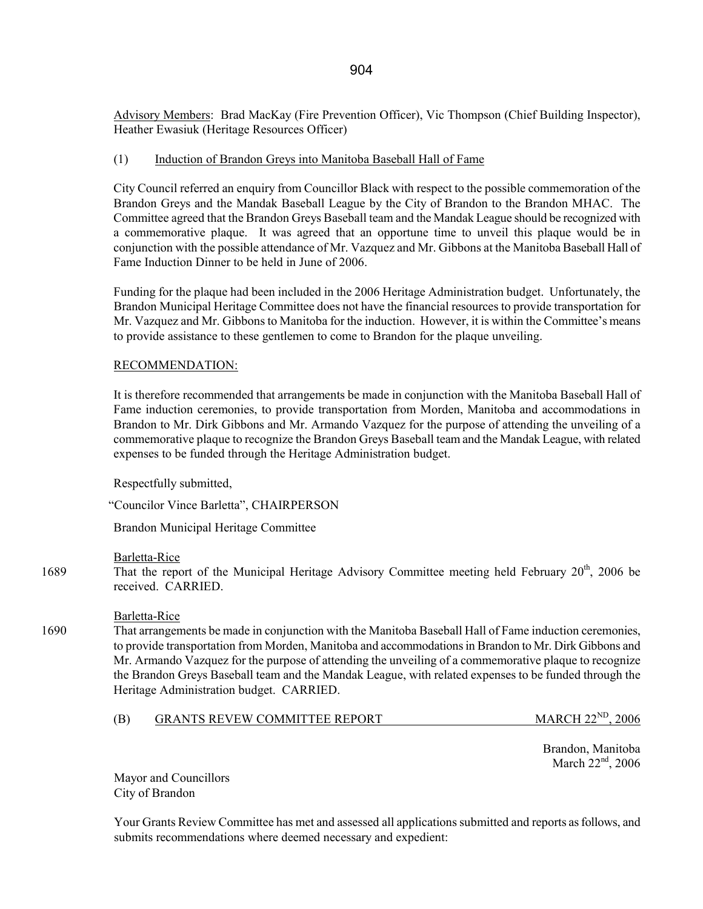Advisory Members: Brad MacKay (Fire Prevention Officer), Vic Thompson (Chief Building Inspector), Heather Ewasiuk (Heritage Resources Officer)

### (1) Induction of Brandon Greys into Manitoba Baseball Hall of Fame

City Council referred an enquiry from Councillor Black with respect to the possible commemoration of the Brandon Greys and the Mandak Baseball League by the City of Brandon to the Brandon MHAC. The Committee agreed that the Brandon Greys Baseball team and the Mandak League should be recognized with a commemorative plaque. It was agreed that an opportune time to unveil this plaque would be in conjunction with the possible attendance of Mr. Vazquez and Mr. Gibbons at the Manitoba Baseball Hall of Fame Induction Dinner to be held in June of 2006.

Funding for the plaque had been included in the 2006 Heritage Administration budget. Unfortunately, the Brandon Municipal Heritage Committee does not have the financial resources to provide transportation for Mr. Vazquez and Mr. Gibbons to Manitoba for the induction. However, it is within the Committee's means to provide assistance to these gentlemen to come to Brandon for the plaque unveiling.

### RECOMMENDATION:

It is therefore recommended that arrangements be made in conjunction with the Manitoba Baseball Hall of Fame induction ceremonies, to provide transportation from Morden, Manitoba and accommodations in Brandon to Mr. Dirk Gibbons and Mr. Armando Vazquez for the purpose of attending the unveiling of a commemorative plaque to recognize the Brandon Greys Baseball team and the Mandak League, with related expenses to be funded through the Heritage Administration budget.

Respectfully submitted,

"Councilor Vince Barletta", CHAIRPERSON

Brandon Municipal Heritage Committee

### Barletta-Rice

1689 That the report of the Municipal Heritage Advisory Committee meeting held February  $20<sup>th</sup>$ , 2006 be received. CARRIED.

### Barletta-Rice

1690 That arrangements be made in conjunction with the Manitoba Baseball Hall of Fame induction ceremonies, to provide transportation from Morden, Manitoba and accommodations in Brandon to Mr. Dirk Gibbons and Mr. Armando Vazquez for the purpose of attending the unveiling of a commemorative plaque to recognize the Brandon Greys Baseball team and the Mandak League, with related expenses to be funded through the Heritage Administration budget. CARRIED.

# (B) GRANTS REVEW COMMITTEE REPORT MARCH 22<sup>ND</sup>, 2006

Brandon, Manitoba March 22<sup>nd</sup>, 2006

Mayor and Councillors City of Brandon

Your Grants Review Committee has met and assessed all applications submitted and reports as follows, and submits recommendations where deemed necessary and expedient: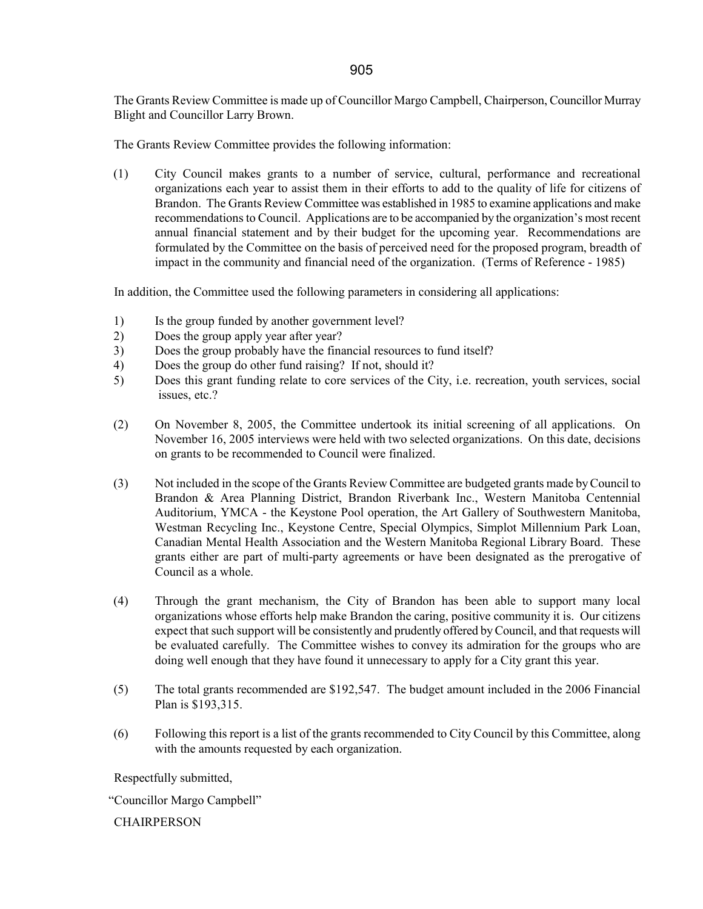The Grants Review Committee is made up of Councillor Margo Campbell, Chairperson, Councillor Murray Blight and Councillor Larry Brown.

The Grants Review Committee provides the following information:

(1) City Council makes grants to a number of service, cultural, performance and recreational organizations each year to assist them in their efforts to add to the quality of life for citizens of Brandon. The Grants Review Committee was established in 1985 to examine applications and make recommendations to Council. Applications are to be accompanied by the organization's most recent annual financial statement and by their budget for the upcoming year. Recommendations are formulated by the Committee on the basis of perceived need for the proposed program, breadth of impact in the community and financial need of the organization. (Terms of Reference - 1985)

In addition, the Committee used the following parameters in considering all applications:

- 1) Is the group funded by another government level?
- 2) Does the group apply year after year?
- 3) Does the group probably have the financial resources to fund itself?
- 4) Does the group do other fund raising? If not, should it?
- 5) Does this grant funding relate to core services of the City, i.e. recreation, youth services, social issues, etc.?
- (2) On November 8, 2005, the Committee undertook its initial screening of all applications. On November 16, 2005 interviews were held with two selected organizations. On this date, decisions on grants to be recommended to Council were finalized.
- (3) Not included in the scope of the Grants Review Committee are budgeted grants made by Council to Brandon & Area Planning District, Brandon Riverbank Inc., Western Manitoba Centennial Auditorium, YMCA - the Keystone Pool operation, the Art Gallery of Southwestern Manitoba, Westman Recycling Inc., Keystone Centre, Special Olympics, Simplot Millennium Park Loan, Canadian Mental Health Association and the Western Manitoba Regional Library Board. These grants either are part of multi-party agreements or have been designated as the prerogative of Council as a whole.
- (4) Through the grant mechanism, the City of Brandon has been able to support many local organizations whose efforts help make Brandon the caring, positive community it is. Our citizens expect that such support will be consistently and prudently offered by Council, and that requests will be evaluated carefully. The Committee wishes to convey its admiration for the groups who are doing well enough that they have found it unnecessary to apply for a City grant this year.
- (5) The total grants recommended are \$192,547. The budget amount included in the 2006 Financial Plan is \$193,315.
- (6) Following this report is a list of the grants recommended to City Council by this Committee, along with the amounts requested by each organization.

Respectfully submitted,

"Councillor Margo Campbell"

**CHAIRPERSON**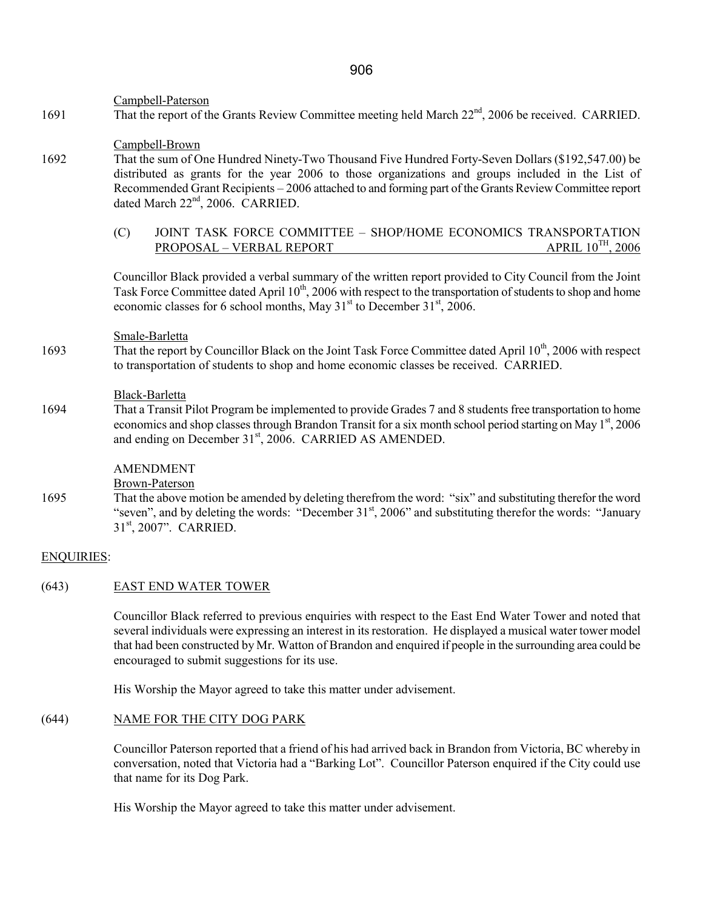Campbell-Paterson

1691 That the report of the Grants Review Committee meeting held March 22<sup>nd</sup>, 2006 be received. CARRIED.

Campbell-Brown

- 1692 That the sum of One Hundred Ninety-Two Thousand Five Hundred Forty-Seven Dollars (\$192,547.00) be distributed as grants for the year 2006 to those organizations and groups included in the List of Recommended Grant Recipients – 2006 attached to and forming part of the Grants Review Committee report dated March 22<sup>nd</sup>, 2006. CARRIED.
	- (C) JOINT TASK FORCE COMMITTEE SHOP/HOME ECONOMICS TRANSPORTATION PROPOSAL VERBAL REPORT APRIL 10<sup>TH</sup>, 2006 PROPOSAL – VERBAL REPORT

 Councillor Black provided a verbal summary of the written report provided to City Council from the Joint Task Force Committee dated April 10<sup>th</sup>, 2006 with respect to the transportation of students to shop and home economic classes for 6 school months, May  $31<sup>st</sup>$  to December  $31<sup>st</sup>$ , 2006.

#### Smale-Barletta

1693 That the report by Councillor Black on the Joint Task Force Committee dated April 10<sup>th</sup>, 2006 with respect to transportation of students to shop and home economic classes be received. CARRIED.

#### Black-Barletta

1694 That a Transit Pilot Program be implemented to provide Grades 7 and 8 students free transportation to home economics and shop classes through Brandon Transit for a six month school period starting on May  $1<sup>st</sup>$ , 2006 and ending on December 31<sup>st</sup>, 2006. CARRIED AS AMENDED.

### AMENDMENT

Brown-Paterson

1695 That the above motion be amended by deleting therefrom the word: "six" and substituting therefor the word "seven", and by deleting the words: "December 31<sup>st</sup>, 2006" and substituting therefor the words: "January" 31st, 2007". CARRIED.

#### ENQUIRIES:

### (643) EAST END WATER TOWER

 Councillor Black referred to previous enquiries with respect to the East End Water Tower and noted that several individuals were expressing an interest in its restoration. He displayed a musical water tower model that had been constructed by Mr. Watton of Brandon and enquired if people in the surrounding area could be encouraged to submit suggestions for its use.

His Worship the Mayor agreed to take this matter under advisement.

# (644) NAME FOR THE CITY DOG PARK

Councillor Paterson reported that a friend of his had arrived back in Brandon from Victoria, BC whereby in conversation, noted that Victoria had a "Barking Lot". Councillor Paterson enquired if the City could use that name for its Dog Park.

His Worship the Mayor agreed to take this matter under advisement.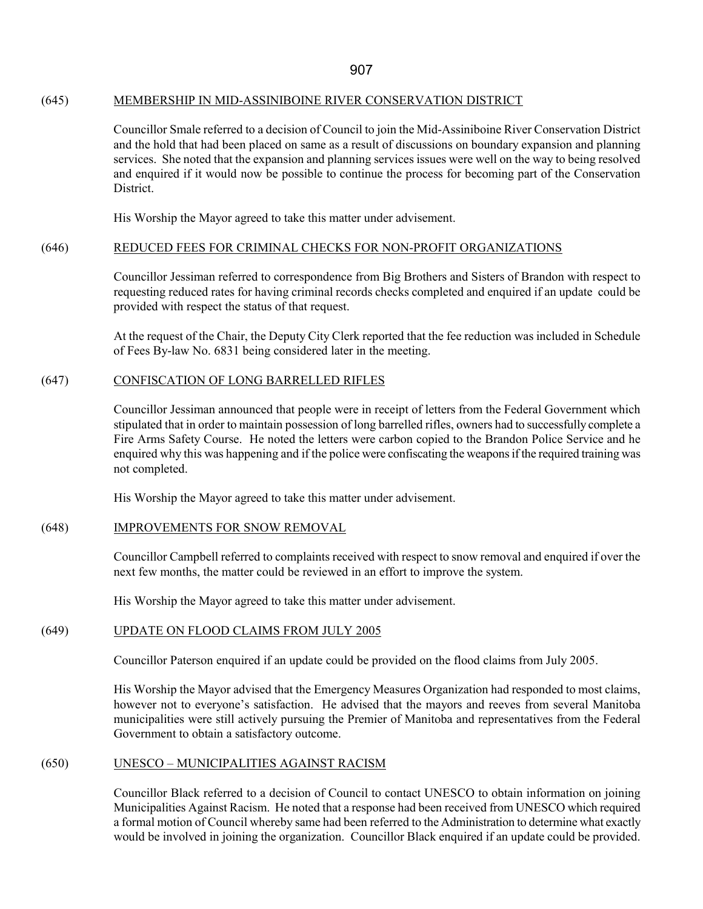### (645) MEMBERSHIP IN MID-ASSINIBOINE RIVER CONSERVATION DISTRICT

Councillor Smale referred to a decision of Council to join the Mid-Assiniboine River Conservation District and the hold that had been placed on same as a result of discussions on boundary expansion and planning services. She noted that the expansion and planning services issues were well on the way to being resolved and enquired if it would now be possible to continue the process for becoming part of the Conservation **District** 

His Worship the Mayor agreed to take this matter under advisement.

#### (646) REDUCED FEES FOR CRIMINAL CHECKS FOR NON-PROFIT ORGANIZATIONS

Councillor Jessiman referred to correspondence from Big Brothers and Sisters of Brandon with respect to requesting reduced rates for having criminal records checks completed and enquired if an update could be provided with respect the status of that request.

At the request of the Chair, the Deputy City Clerk reported that the fee reduction was included in Schedule of Fees By-law No. 6831 being considered later in the meeting.

#### (647) CONFISCATION OF LONG BARRELLED RIFLES

Councillor Jessiman announced that people were in receipt of letters from the Federal Government which stipulated that in order to maintain possession of long barrelled rifles, owners had to successfully complete a Fire Arms Safety Course. He noted the letters were carbon copied to the Brandon Police Service and he enquired why this was happening and if the police were confiscating the weapons if the required training was not completed.

His Worship the Mayor agreed to take this matter under advisement.

#### (648) IMPROVEMENTS FOR SNOW REMOVAL

Councillor Campbell referred to complaints received with respect to snow removal and enquired if over the next few months, the matter could be reviewed in an effort to improve the system.

His Worship the Mayor agreed to take this matter under advisement.

### (649) UPDATE ON FLOOD CLAIMS FROM JULY 2005

Councillor Paterson enquired if an update could be provided on the flood claims from July 2005.

His Worship the Mayor advised that the Emergency Measures Organization had responded to most claims, however not to everyone's satisfaction. He advised that the mayors and reeves from several Manitoba municipalities were still actively pursuing the Premier of Manitoba and representatives from the Federal Government to obtain a satisfactory outcome.

#### (650) UNESCO – MUNICIPALITIES AGAINST RACISM

Councillor Black referred to a decision of Council to contact UNESCO to obtain information on joining Municipalities Against Racism. He noted that a response had been received from UNESCO which required a formal motion of Council whereby same had been referred to the Administration to determine what exactly would be involved in joining the organization. Councillor Black enquired if an update could be provided.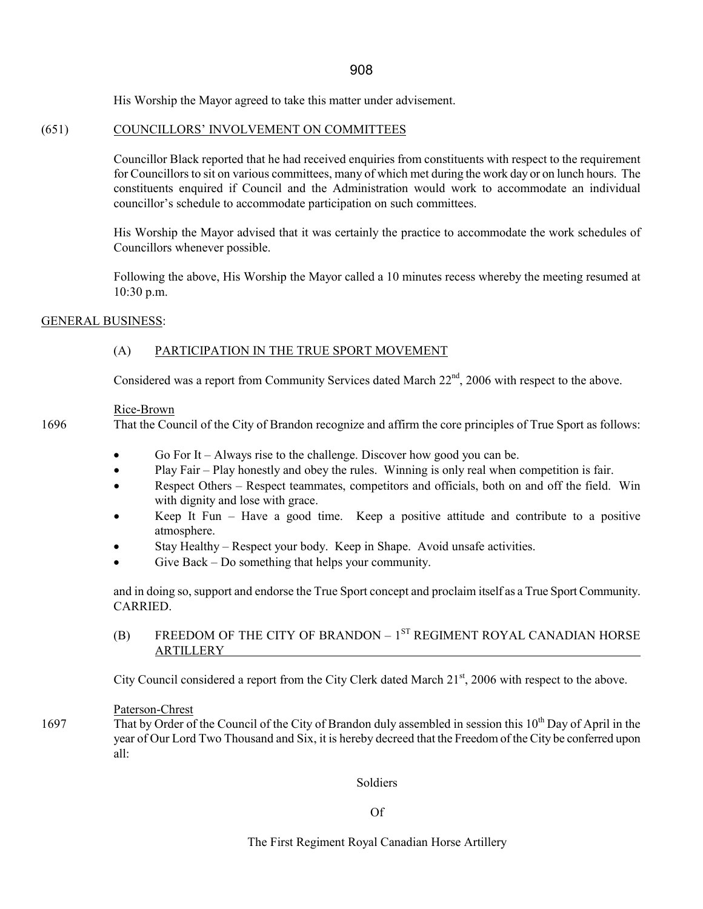His Worship the Mayor agreed to take this matter under advisement.

### (651) COUNCILLORS' INVOLVEMENT ON COMMITTEES

Councillor Black reported that he had received enquiries from constituents with respect to the requirement for Councillors to sit on various committees, many of which met during the work day or on lunch hours. The constituents enquired if Council and the Administration would work to accommodate an individual councillor's schedule to accommodate participation on such committees.

His Worship the Mayor advised that it was certainly the practice to accommodate the work schedules of Councillors whenever possible.

Following the above, His Worship the Mayor called a 10 minutes recess whereby the meeting resumed at 10:30 p.m.

#### GENERAL BUSINESS:

# (A) PARTICIPATION IN THE TRUE SPORT MOVEMENT

Considered was a report from Community Services dated March  $22<sup>nd</sup>$ , 2006 with respect to the above.

#### Rice-Brown

1696 That the Council of the City of Brandon recognize and affirm the core principles of True Sport as follows:

- Go For It Always rise to the challenge. Discover how good you can be.
- Play Fair Play honestly and obey the rules. Winning is only real when competition is fair.
- Respect Others Respect teammates, competitors and officials, both on and off the field. Win with dignity and lose with grace.
- Keep It Fun Have a good time. Keep a positive attitude and contribute to a positive atmosphere.
- Stay Healthy Respect your body. Keep in Shape. Avoid unsafe activities.
- Give Back Do something that helps your community.

and in doing so, support and endorse the True Sport concept and proclaim itself as a True Sport Community. CARRIED.

# (B) FREEDOM OF THE CITY OF BRANDON –  $1<sup>ST</sup>$  REGIMENT ROYAL CANADIAN HORSE ARTILLERY

City Council considered a report from the City Clerk dated March 21<sup>st</sup>, 2006 with respect to the above.

#### Paterson-Chrest

1697 That by Order of the Council of the City of Brandon duly assembled in session this  $10^{th}$  Day of April in the year of Our Lord Two Thousand and Six, it is hereby decreed that the Freedom of the City be conferred upon all:

Soldiers

Of

The First Regiment Royal Canadian Horse Artillery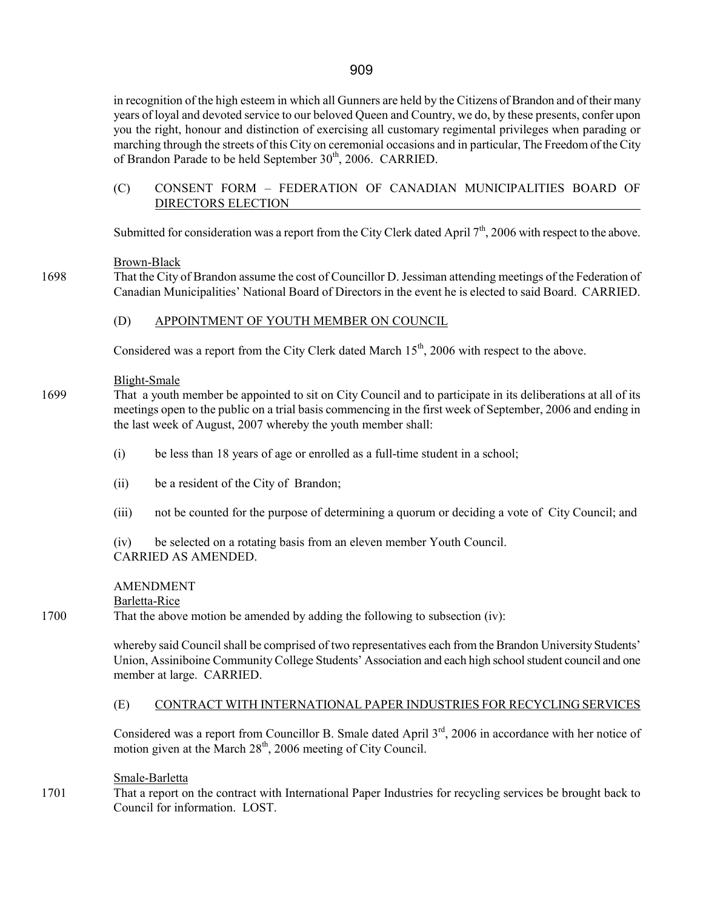in recognition of the high esteem in which all Gunners are held by the Citizens of Brandon and of their many years of loyal and devoted service to our beloved Queen and Country, we do, by these presents, confer upon you the right, honour and distinction of exercising all customary regimental privileges when parading or marching through the streets of this City on ceremonial occasions and in particular, The Freedom of the City of Brandon Parade to be held September 30<sup>th</sup>, 2006. CARRIED.

### (C) CONSENT FORM – FEDERATION OF CANADIAN MUNICIPALITIES BOARD OF DIRECTORS ELECTION

Submitted for consideration was a report from the City Clerk dated April  $7<sup>th</sup>$ , 2006 with respect to the above.

### Brown-Black

1698 That the City of Brandon assume the cost of Councillor D. Jessiman attending meetings of the Federation of Canadian Municipalities' National Board of Directors in the event he is elected to said Board. CARRIED.

### (D) APPOINTMENT OF YOUTH MEMBER ON COUNCIL

Considered was a report from the City Clerk dated March 15<sup>th</sup>, 2006 with respect to the above.

### Blight-Smale

- 1699 That a youth member be appointed to sit on City Council and to participate in its deliberations at all of its meetings open to the public on a trial basis commencing in the first week of September, 2006 and ending in the last week of August, 2007 whereby the youth member shall:
	- (i) be less than 18 years of age or enrolled as a full-time student in a school;
	- (ii) be a resident of the City of Brandon;
	- (iii) not be counted for the purpose of determining a quorum or deciding a vote of City Council; and

(iv) be selected on a rotating basis from an eleven member Youth Council. CARRIED AS AMENDED.

### AMENDMENT

Barletta-Rice

1700 That the above motion be amended by adding the following to subsection (iv):

 whereby said Council shall be comprised of two representatives each from the Brandon University Students' Union, Assiniboine Community College Students' Association and each high school student council and one member at large. CARRIED.

### (E) CONTRACT WITH INTERNATIONAL PAPER INDUSTRIES FOR RECYCLING SERVICES

Considered was a report from Councillor B. Smale dated April 3<sup>rd</sup>, 2006 in accordance with her notice of motion given at the March  $28<sup>th</sup>$ , 2006 meeting of City Council.

### Smale-Barletta

1701 That a report on the contract with International Paper Industries for recycling services be brought back to Council for information. LOST.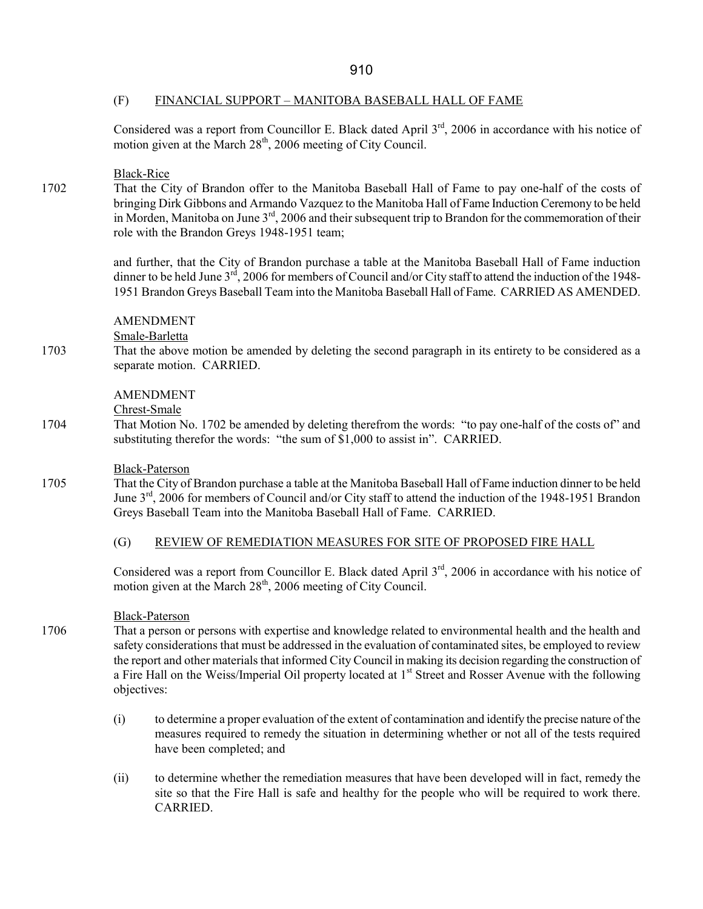### (F) FINANCIAL SUPPORT – MANITOBA BASEBALL HALL OF FAME

Considered was a report from Councillor E. Black dated April 3<sup>rd</sup>, 2006 in accordance with his notice of motion given at the March  $28<sup>th</sup>$ , 2006 meeting of City Council.

### Black-Rice

1702 That the City of Brandon offer to the Manitoba Baseball Hall of Fame to pay one-half of the costs of bringing Dirk Gibbons and Armando Vazquez to the Manitoba Hall of Fame Induction Ceremony to be held in Morden, Manitoba on June 3<sup>rd</sup>, 2006 and their subsequent trip to Brandon for the commemoration of their role with the Brandon Greys 1948-1951 team;

> and further, that the City of Brandon purchase a table at the Manitoba Baseball Hall of Fame induction dinner to be held June 3<sup>rd</sup>, 2006 for members of Council and/or City staff to attend the induction of the 1948-1951 Brandon Greys Baseball Team into the Manitoba Baseball Hall of Fame. CARRIED AS AMENDED.

### AMENDMENT

Smale-Barletta

1703 That the above motion be amended by deleting the second paragraph in its entirety to be considered as a separate motion. CARRIED.

### AMENDMENT

Chrest-Smale

1704 That Motion No. 1702 be amended by deleting therefrom the words: "to pay one-half of the costs of" and substituting therefor the words: "the sum of \$1,000 to assist in". CARRIED.

#### Black-Paterson

1705 That the City of Brandon purchase a table at the Manitoba Baseball Hall of Fame induction dinner to be held June 3<sup>rd</sup>, 2006 for members of Council and/or City staff to attend the induction of the 1948-1951 Brandon Greys Baseball Team into the Manitoba Baseball Hall of Fame. CARRIED.

### (G) REVIEW OF REMEDIATION MEASURES FOR SITE OF PROPOSED FIRE HALL

Considered was a report from Councillor E. Black dated April 3<sup>rd</sup>, 2006 in accordance with his notice of motion given at the March  $28<sup>th</sup>$ , 2006 meeting of City Council.

### Black-Paterson

- 1706 That a person or persons with expertise and knowledge related to environmental health and the health and safety considerations that must be addressed in the evaluation of contaminated sites, be employed to review the report and other materials that informed City Council in making its decision regarding the construction of a Fire Hall on the Weiss/Imperial Oil property located at 1<sup>st</sup> Street and Rosser Avenue with the following objectives:
	- (i) to determine a proper evaluation of the extent of contamination and identify the precise nature of the measures required to remedy the situation in determining whether or not all of the tests required have been completed; and
	- (ii) to determine whether the remediation measures that have been developed will in fact, remedy the site so that the Fire Hall is safe and healthy for the people who will be required to work there. CARRIED.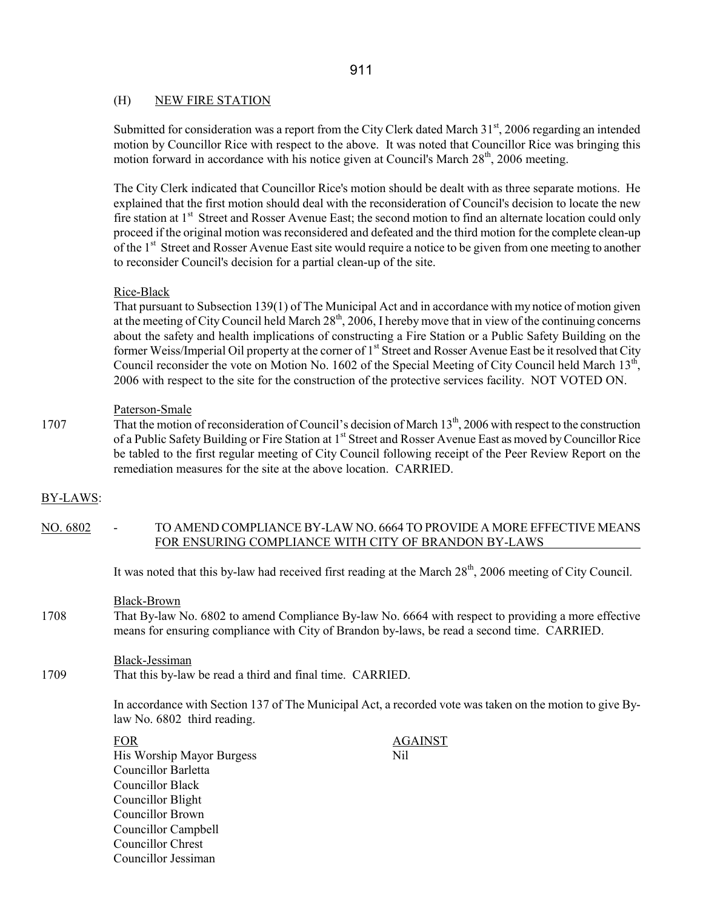### (H) NEW FIRE STATION

Submitted for consideration was a report from the City Clerk dated March 31<sup>st</sup>, 2006 regarding an intended motion by Councillor Rice with respect to the above. It was noted that Councillor Rice was bringing this motion forward in accordance with his notice given at Council's March 28<sup>th</sup>, 2006 meeting.

The City Clerk indicated that Councillor Rice's motion should be dealt with as three separate motions. He explained that the first motion should deal with the reconsideration of Council's decision to locate the new fire station at 1<sup>st</sup> Street and Rosser Avenue East; the second motion to find an alternate location could only proceed if the original motion was reconsidered and defeated and the third motion for the complete clean-up of the 1st Street and Rosser Avenue East site would require a notice to be given from one meeting to another to reconsider Council's decision for a partial clean-up of the site.

#### Rice-Black

That pursuant to Subsection 139(1) of The Municipal Act and in accordance with my notice of motion given at the meeting of City Council held March 28<sup>th</sup>, 2006, I hereby move that in view of the continuing concerns about the safety and health implications of constructing a Fire Station or a Public Safety Building on the former Weiss/Imperial Oil property at the corner of 1<sup>st</sup> Street and Rosser Avenue East be it resolved that City Council reconsider the vote on Motion No. 1602 of the Special Meeting of City Council held March  $13<sup>th</sup>$ , 2006 with respect to the site for the construction of the protective services facility. NOT VOTED ON.

#### Paterson-Smale

1707 That the motion of reconsideration of Council's decision of March 13<sup>th</sup>, 2006 with respect to the construction of a Public Safety Building or Fire Station at 1<sup>st</sup> Street and Rosser Avenue East as moved by Councillor Rice be tabled to the first regular meeting of City Council following receipt of the Peer Review Report on the remediation measures for the site at the above location. CARRIED.

### BY-LAWS:

### NO. 6802 - TO AMEND COMPLIANCE BY-LAW NO. 6664 TO PROVIDE A MORE EFFECTIVE MEANS FOR ENSURING COMPLIANCE WITH CITY OF BRANDON BY-LAWS

It was noted that this by-law had received first reading at the March  $28<sup>th</sup>$ , 2006 meeting of City Council.

Black-Brown

1708 That By-law No. 6802 to amend Compliance By-law No. 6664 with respect to providing a more effective means for ensuring compliance with City of Brandon by-laws, be read a second time. CARRIED.

#### Black-Jessiman

1709 That this by-law be read a third and final time. CARRIED.

In accordance with Section 137 of The Municipal Act, a recorded vote was taken on the motion to give Bylaw No. 6802 third reading.

| <b>FOR</b>                 | <b>AGAINST</b> |
|----------------------------|----------------|
| His Worship Mayor Burgess  | Nil            |
| <b>Councillor Barletta</b> |                |
| Councillor Black           |                |
| Councillor Blight          |                |
| Councillor Brown           |                |
| <b>Councillor Campbell</b> |                |
| Councillor Chrest          |                |
| Councillor Jessiman        |                |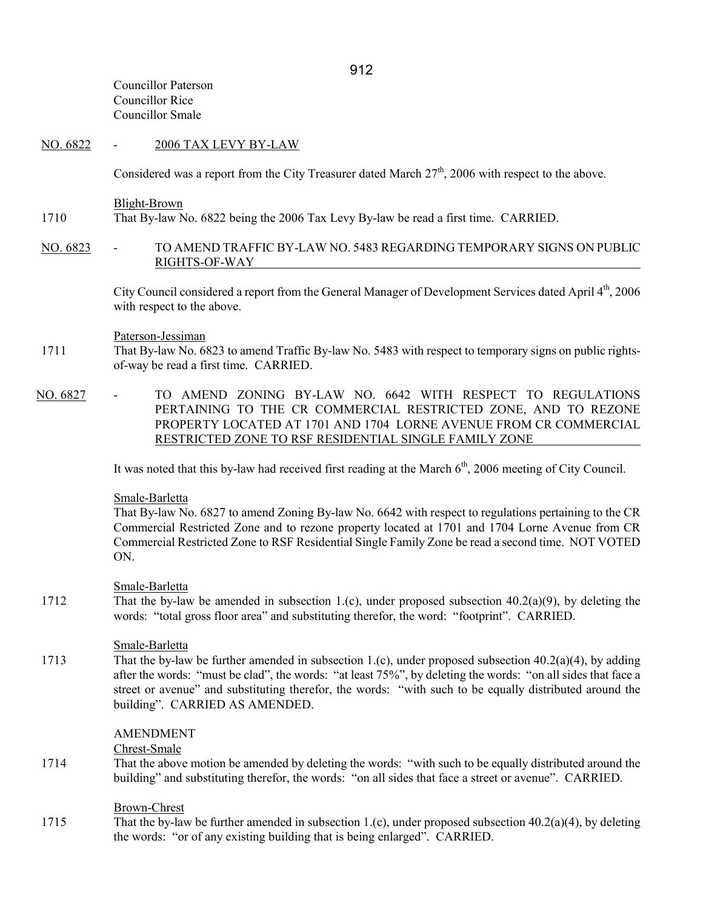Councillor Paterson Councillor Rice Councillor Smale

#### NO. 6822 - 2006 TAX LEVY BY-LAW

Considered was a report from the City Treasurer dated March  $27<sup>th</sup>$ , 2006 with respect to the above.

Blight-Brown

- 1710 That By-law No. 6822 being the 2006 Tax Levy By-law be read a first time. CARRIED.
- NO. 6823 TO AMEND TRAFFIC BY-LAW NO. 5483 REGARDING TEMPORARY SIGNS ON PUBLIC RIGHTS-OF-WAY

City Council considered a report from the General Manager of Development Services dated April 4<sup>th</sup>, 2006 with respect to the above.

#### Paterson-Jessiman

- 1711 That By-law No. 6823 to amend Traffic By-law No. 5483 with respect to temporary signs on public rightsof-way be read a first time. CARRIED.
- NO. 6827 TO AMEND ZONING BY-LAW NO. 6642 WITH RESPECT TO REGULATIONS PERTAINING TO THE CR COMMERCIAL RESTRICTED ZONE, AND TO REZONE PROPERTY LOCATED AT 1701 AND 1704 LORNE AVENUE FROM CR COMMERCIAL RESTRICTED ZONE TO RSF RESIDENTIAL SINGLE FAMILY ZONE

It was noted that this by-law had received first reading at the March  $6<sup>th</sup>$ , 2006 meeting of City Council.

#### Smale-Barletta

 That By-law No. 6827 to amend Zoning By-law No. 6642 with respect to regulations pertaining to the CR Commercial Restricted Zone and to rezone property located at 1701 and 1704 Lorne Avenue from CR Commercial Restricted Zone to RSF Residential Single Family Zone be read a second time. NOT VOTED ON.

### Smale-Barletta

1712 That the by-law be amended in subsection 1.(c), under proposed subsection 40.2(a)(9), by deleting the words: "total gross floor area" and substituting therefor, the word: "footprint". CARRIED.

#### Smale-Barletta

1713 That the by-law be further amended in subsection 1.(c), under proposed subsection 40.2(a)(4), by adding after the words: "must be clad", the words: "at least 75%", by deleting the words: "on all sides that face a street or avenue" and substituting therefor, the words: "with such to be equally distributed around the building". CARRIED AS AMENDED.

#### AMENDMENT

Chrest-Smale

1714 That the above motion be amended by deleting the words: "with such to be equally distributed around the building" and substituting therefor, the words: "on all sides that face a street or avenue". CARRIED.

### Brown-Chrest

1715 That the by-law be further amended in subsection 1.(c), under proposed subsection 40.2(a)(4), by deleting the words: "or of any existing building that is being enlarged". CARRIED.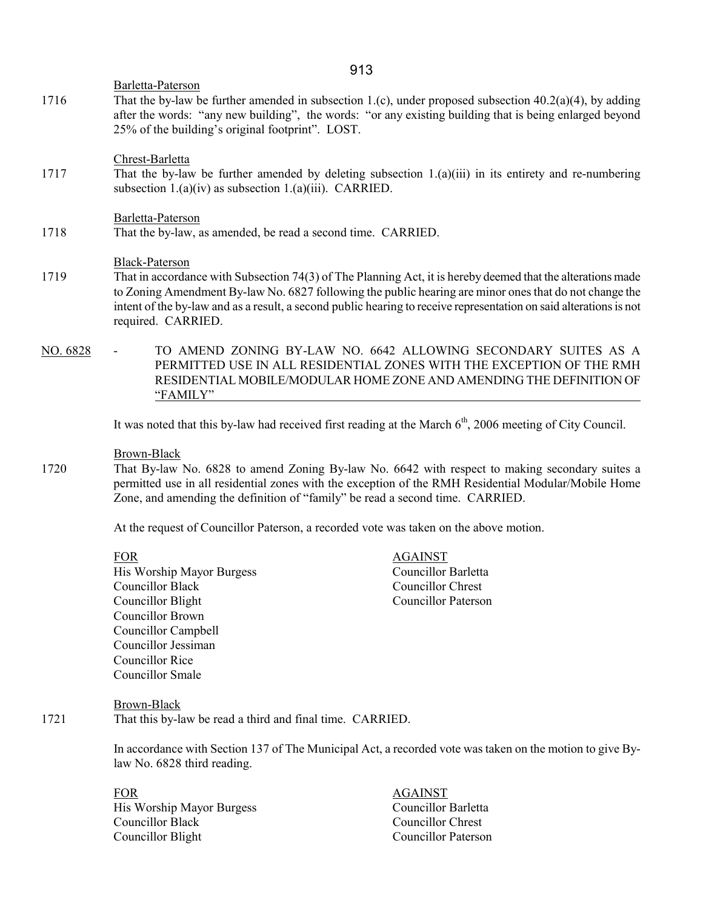Barletta-Paterson

1716 That the by-law be further amended in subsection 1.(c), under proposed subsection 40.2(a)(4), by adding after the words: "any new building", the words: "or any existing building that is being enlarged beyond 25% of the building's original footprint". LOST.

Chrest-Barletta

1717 That the by-law be further amended by deleting subsection 1.(a)(iii) in its entirety and re-numbering subsection 1.(a)(iv) as subsection 1.(a)(iii). CARRIED.

#### Barletta-Paterson

1718 That the by-law, as amended, be read a second time. CARRIED.

#### Black-Paterson

- 1719 That in accordance with Subsection 74(3) of The Planning Act, it is hereby deemed that the alterations made to Zoning Amendment By-law No. 6827 following the public hearing are minor ones that do not change the intent of the by-law and as a result, a second public hearing to receive representation on said alterations is not required. CARRIED.
- NO. 6828 TO AMEND ZONING BY-LAW NO. 6642 ALLOWING SECONDARY SUITES AS A PERMITTED USE IN ALL RESIDENTIAL ZONES WITH THE EXCEPTION OF THE RMH RESIDENTIAL MOBILE/MODULAR HOME ZONE AND AMENDING THE DEFINITION OF "FAMILY"

It was noted that this by-law had received first reading at the March  $6<sup>th</sup>$ , 2006 meeting of City Council.

#### Brown-Black

1720 That By-law No. 6828 to amend Zoning By-law No. 6642 with respect to making secondary suites a permitted use in all residential zones with the exception of the RMH Residential Modular/Mobile Home Zone, and amending the definition of "family" be read a second time. CARRIED.

At the request of Councillor Paterson, a recorded vote was taken on the above motion.

FOR AGAINST His Worship Mayor Burgess Councillor Barletta Councillor Black Councillor Chrest Councillor Blight Councillor Paterson Councillor Brown Councillor Campbell Councillor Jessiman Councillor Rice Councillor Smale

 Brown-Black 1721 That this by-law be read a third and final time. CARRIED.

> In accordance with Section 137 of The Municipal Act, a recorded vote was taken on the motion to give Bylaw No. 6828 third reading.

| FOR                       | <b>AGAINST</b>             |
|---------------------------|----------------------------|
| His Worship Mayor Burgess | Councillor Barletta        |
| Councillor Black          | Councillor Chrest          |
| Councillor Blight         | <b>Councillor Paterson</b> |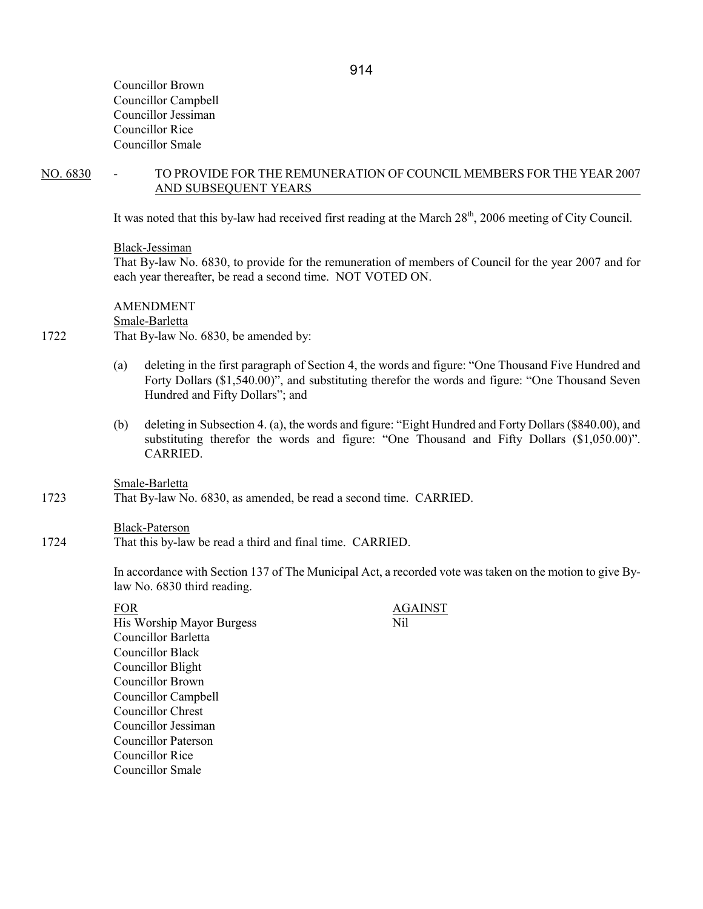Councillor Brown Councillor Campbell Councillor Jessiman Councillor Rice Councillor Smale

NO. 6830 - TO PROVIDE FOR THE REMUNERATION OF COUNCIL MEMBERS FOR THE YEAR 2007 AND SUBSEQUENT YEARS

It was noted that this by-law had received first reading at the March  $28<sup>th</sup>$ , 2006 meeting of City Council.

#### Black-Jessiman

 That By-law No. 6830, to provide for the remuneration of members of Council for the year 2007 and for each year thereafter, be read a second time. NOT VOTED ON.

 AMENDMENT Smale-Barletta 1722 That By-law No. 6830, be amended by:

- (a) deleting in the first paragraph of Section 4, the words and figure: "One Thousand Five Hundred and Forty Dollars (\$1,540.00)", and substituting therefor the words and figure: "One Thousand Seven Hundred and Fifty Dollars"; and
- (b) deleting in Subsection 4. (a), the words and figure: "Eight Hundred and Forty Dollars (\$840.00), and substituting therefor the words and figure: "One Thousand and Fifty Dollars (\$1,050.00)". CARRIED.

Smale-Barletta

1723 That By-law No. 6830, as amended, be read a second time. CARRIED.

#### Black-Paterson

1724 That this by-law be read a third and final time. CARRIED.

In accordance with Section 137 of The Municipal Act, a recorded vote was taken on the motion to give Bylaw No. 6830 third reading.

FOR AGAINST His Worship Mayor Burgess Nil Councillor Barletta Councillor Black Councillor Blight Councillor Brown Councillor Campbell Councillor Chrest Councillor Jessiman Councillor Paterson Councillor Rice Councillor Smale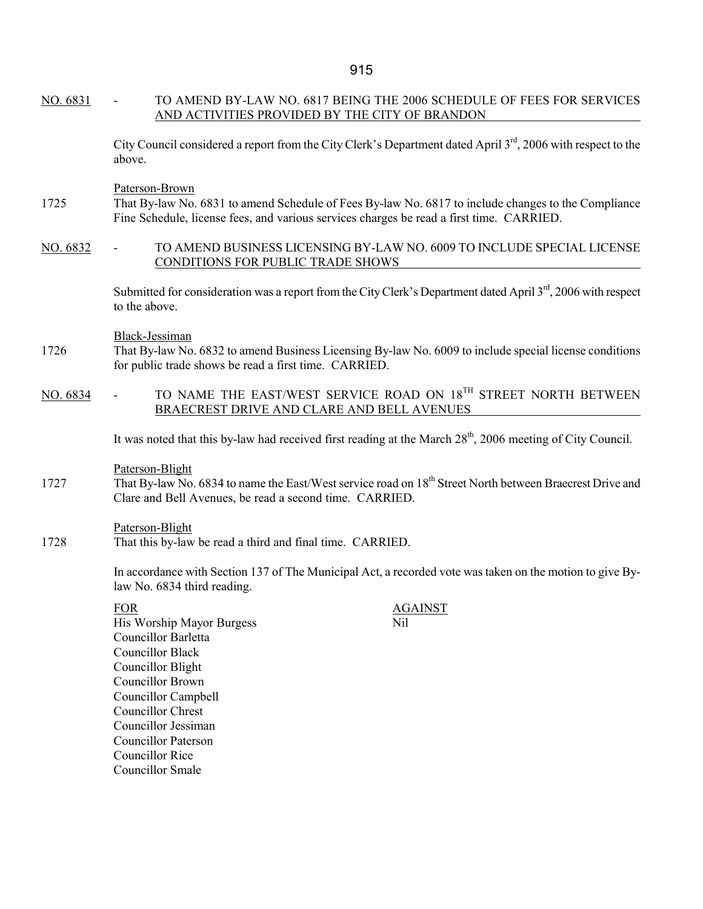| TO AMEND BY-LAW NO. 6817 BEING THE 2006 SCHEDULE OF FEES FOR SERVICES<br>AND ACTIVITIES PROVIDED BY THE CITY OF BRANDON                                                                                                                                                                                                   |
|---------------------------------------------------------------------------------------------------------------------------------------------------------------------------------------------------------------------------------------------------------------------------------------------------------------------------|
| City Council considered a report from the City Clerk's Department dated April 3 <sup>rd</sup> , 2006 with respect to the<br>above.                                                                                                                                                                                        |
| Paterson-Brown<br>That By-law No. 6831 to amend Schedule of Fees By-law No. 6817 to include changes to the Compliance<br>Fine Schedule, license fees, and various services charges be read a first time. CARRIED.                                                                                                         |
| TO AMEND BUSINESS LICENSING BY-LAW NO. 6009 TO INCLUDE SPECIAL LICENSE<br>CONDITIONS FOR PUBLIC TRADE SHOWS                                                                                                                                                                                                               |
| Submitted for consideration was a report from the City Clerk's Department dated April 3 <sup>rd</sup> , 2006 with respect<br>to the above.                                                                                                                                                                                |
| Black-Jessiman<br>That By-law No. 6832 to amend Business Licensing By-law No. 6009 to include special license conditions<br>for public trade shows be read a first time. CARRIED.                                                                                                                                         |
| TO NAME THE EAST/WEST SERVICE ROAD ON 18 <sup>TH</sup> STREET NORTH BETWEEN<br>BRAECREST DRIVE AND CLARE AND BELL AVENUES                                                                                                                                                                                                 |
| It was noted that this by-law had received first reading at the March 28 <sup>th</sup> , 2006 meeting of City Council.                                                                                                                                                                                                    |
| Paterson-Blight<br>That By-law No. 6834 to name the East/West service road on 18 <sup>th</sup> Street North between Braecrest Drive and<br>Clare and Bell Avenues, be read a second time. CARRIED.                                                                                                                        |
| Paterson-Blight<br>That this by-law be read a third and final time. CARRIED.                                                                                                                                                                                                                                              |
| In accordance with Section 137 of The Municipal Act, a recorded vote was taken on the motion to give By-<br>law No. 6834 third reading.                                                                                                                                                                                   |
| <b>FOR</b><br><b>AGAINST</b><br>Nil<br>His Worship Mayor Burgess<br><b>Councillor Barletta</b><br><b>Councillor Black</b><br><b>Councillor Blight</b><br><b>Councillor Brown</b><br><b>Councillor Campbell</b><br><b>Councillor Chrest</b><br>Councillor Jessiman<br><b>Councillor Paterson</b><br><b>Councillor Rice</b> |
|                                                                                                                                                                                                                                                                                                                           |

Councillor Smale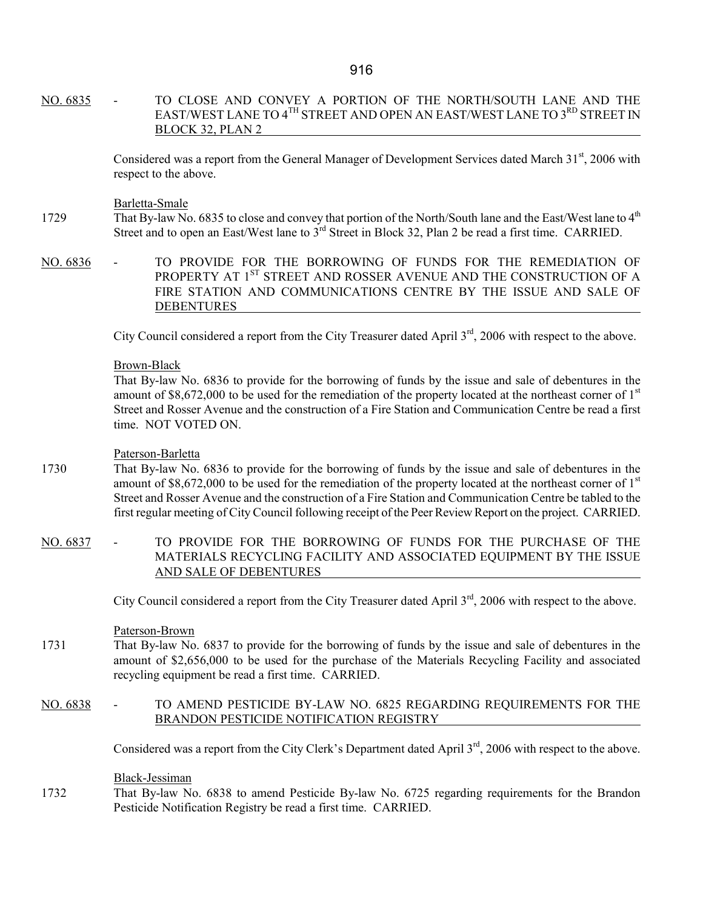NO. 6835 - TO CLOSE AND CONVEY A PORTION OF THE NORTH/SOUTH LANE AND THE EAST/WEST LANE TO 4<sup>TH</sup> STREET AND OPEN AN EAST/WEST LANE TO 3<sup>RD</sup> STREET IN BLOCK 32, PLAN 2

> Considered was a report from the General Manager of Development Services dated March 31<sup>st</sup>, 2006 with respect to the above.

Barletta-Smale

- 1729 That By-law No. 6835 to close and convey that portion of the North/South lane and the East/West lane to 4<sup>th</sup> Street and to open an East/West lane to 3<sup>rd</sup> Street in Block 32, Plan 2 be read a first time. CARRIED.
- NO. 6836 TO PROVIDE FOR THE BORROWING OF FUNDS FOR THE REMEDIATION OF PROPERTY AT 1<sup>ST</sup> STREET AND ROSSER AVENUE AND THE CONSTRUCTION OF A FIRE STATION AND COMMUNICATIONS CENTRE BY THE ISSUE AND SALE OF DEBENTURES

City Council considered a report from the City Treasurer dated April 3<sup>rd</sup>, 2006 with respect to the above.

#### Brown-Black

 That By-law No. 6836 to provide for the borrowing of funds by the issue and sale of debentures in the amount of  $$8,672,000$  to be used for the remediation of the property located at the northeast corner of  $1<sup>st</sup>$ Street and Rosser Avenue and the construction of a Fire Station and Communication Centre be read a first time. NOT VOTED ON.

#### Paterson-Barletta

- 1730 That By-law No. 6836 to provide for the borrowing of funds by the issue and sale of debentures in the amount of  $$8,672,000$  to be used for the remediation of the property located at the northeast corner of  $1<sup>st</sup>$ Street and Rosser Avenue and the construction of a Fire Station and Communication Centre be tabled to the first regular meeting of City Council following receipt of the Peer Review Report on the project. CARRIED.
- NO. 6837 TO PROVIDE FOR THE BORROWING OF FUNDS FOR THE PURCHASE OF THE MATERIALS RECYCLING FACILITY AND ASSOCIATED EQUIPMENT BY THE ISSUE AND SALE OF DEBENTURES

City Council considered a report from the City Treasurer dated April 3<sup>rd</sup>, 2006 with respect to the above.

#### Paterson-Brown

1731 That By-law No. 6837 to provide for the borrowing of funds by the issue and sale of debentures in the amount of \$2,656,000 to be used for the purchase of the Materials Recycling Facility and associated recycling equipment be read a first time. CARRIED.

### NO. 6838 - TO AMEND PESTICIDE BY-LAW NO. 6825 REGARDING REQUIREMENTS FOR THE BRANDON PESTICIDE NOTIFICATION REGISTRY

Considered was a report from the City Clerk's Department dated April 3<sup>rd</sup>, 2006 with respect to the above.

Black-Jessiman

1732 That By-law No. 6838 to amend Pesticide By-law No. 6725 regarding requirements for the Brandon Pesticide Notification Registry be read a first time. CARRIED.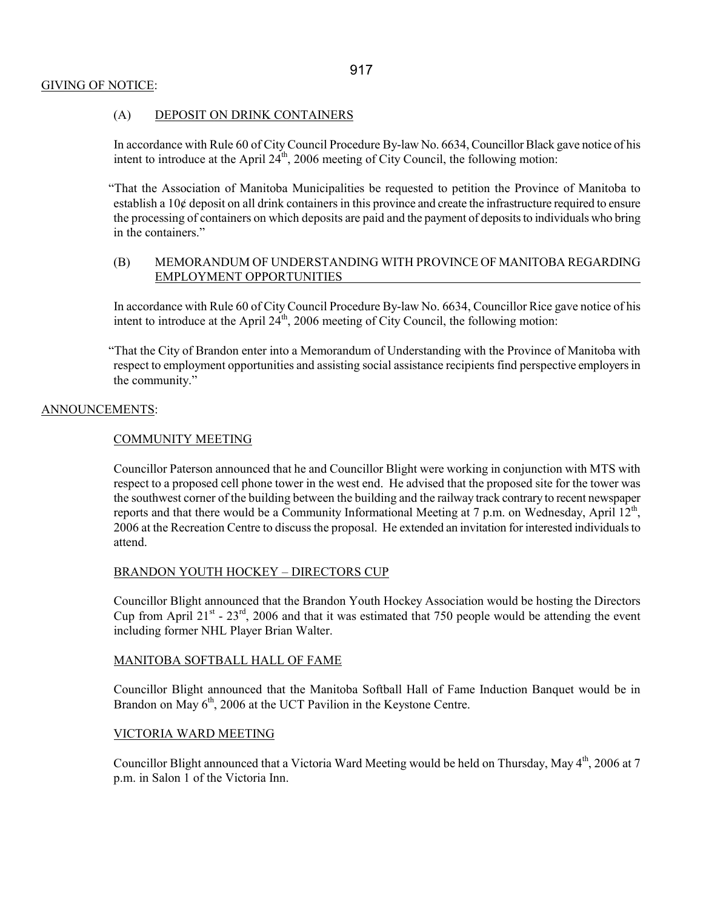# GIVING OF NOTICE:

### (A) DEPOSIT ON DRINK CONTAINERS

In accordance with Rule 60 of City Council Procedure By-law No. 6634, Councillor Black gave notice of his intent to introduce at the April  $24<sup>th</sup>$ , 2006 meeting of City Council, the following motion:

"That the Association of Manitoba Municipalities be requested to petition the Province of Manitoba to establish a 10¢ deposit on all drink containers in this province and create the infrastructure required to ensure the processing of containers on which deposits are paid and the payment of deposits to individuals who bring in the containers."

### (B) MEMORANDUM OF UNDERSTANDING WITH PROVINCE OF MANITOBA REGARDING EMPLOYMENT OPPORTUNITIES

In accordance with Rule 60 of City Council Procedure By-law No. 6634, Councillor Rice gave notice of his intent to introduce at the April  $24<sup>th</sup>$ , 2006 meeting of City Council, the following motion:

"That the City of Brandon enter into a Memorandum of Understanding with the Province of Manitoba with respect to employment opportunities and assisting social assistance recipients find perspective employers in the community."

### ANNOUNCEMENTS:

### COMMUNITY MEETING

Councillor Paterson announced that he and Councillor Blight were working in conjunction with MTS with respect to a proposed cell phone tower in the west end. He advised that the proposed site for the tower was the southwest corner of the building between the building and the railway track contrary to recent newspaper reports and that there would be a Community Informational Meeting at 7 p.m. on Wednesday, April  $12^{th}$ , 2006 at the Recreation Centre to discuss the proposal. He extended an invitation for interested individuals to attend.

### BRANDON YOUTH HOCKEY – DIRECTORS CUP

Councillor Blight announced that the Brandon Youth Hockey Association would be hosting the Directors Cup from April 21 $^{\text{st}}$  - 23 $^{\text{rd}}$ , 2006 and that it was estimated that 750 people would be attending the event including former NHL Player Brian Walter.

### MANITOBA SOFTBALL HALL OF FAME

Councillor Blight announced that the Manitoba Softball Hall of Fame Induction Banquet would be in Brandon on May  $6<sup>th</sup>$ , 2006 at the UCT Pavilion in the Keystone Centre.

### VICTORIA WARD MEETING

Councillor Blight announced that a Victoria Ward Meeting would be held on Thursday, May 4<sup>th</sup>, 2006 at 7 p.m. in Salon 1 of the Victoria Inn.